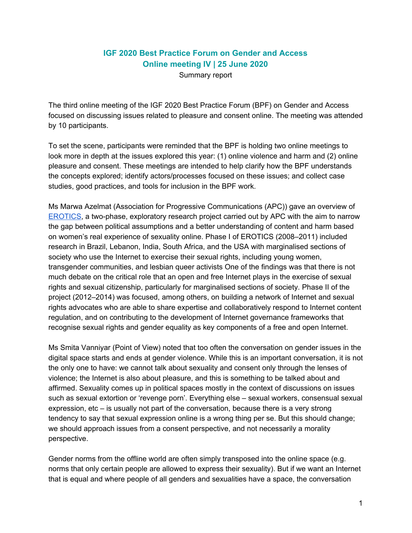## **IGF 2020 Best Practice Forum on Gender and Access Online meeting IV | 25 June 2020**

Summary report

The third online meeting of the IGF 2020 Best Practice Forum (BPF) on Gender and Access focused on discussing issues related to pleasure and consent online. The meeting was attended by 10 participants.

To set the scene, participants were reminded that the BPF is holding two online meetings to look more in depth at the issues explored this year: (1) online violence and harm and (2) online pleasure and consent. These meetings are intended to help clarify how the BPF understands the concepts explored; identify actors/processes focused on these issues; and collect case studies, good practices, and tools for inclusion in the BPF work.

Ms Marwa Azelmat (Association for Progressive Communications (APC)) gave an overview of [EROTICS,](https://erotics.apc.org/about-erotics) a two-phase, exploratory research project carried out by APC with the aim to narrow the gap between political assumptions and a better understanding of content and harm based on women's real experience of sexuality online. Phase I of EROTICS (2008–2011) included research in Brazil, Lebanon, India, South Africa, and the USA with marginalised sections of society who use the Internet to exercise their sexual rights, including young women, transgender communities, and lesbian queer activists One of the findings was that there is not much debate on the critical role that an open and free Internet plays in the exercise of sexual rights and sexual citizenship, particularly for marginalised sections of society. Phase II of the project (2012–2014) was focused, among others, on building a network of Internet and sexual rights advocates who are able to share expertise and collaboratively respond to Internet content regulation, and on contributing to the development of Internet governance frameworks that recognise sexual rights and gender equality as key components of a free and open Internet.

Ms Smita Vanniyar (Point of View) noted that too often the conversation on gender issues in the digital space starts and ends at gender violence. While this is an important conversation, it is not the only one to have: we cannot talk about sexuality and consent only through the lenses of violence; the Internet is also about pleasure, and this is something to be talked about and affirmed. Sexuality comes up in political spaces mostly in the context of discussions on issues such as sexual extortion or 'revenge porn'. Everything else – sexual workers, consensual sexual expression, etc – is usually not part of the conversation, because there is a very strong tendency to say that sexual expression online is a wrong thing per se. But this should change; we should approach issues from a consent perspective, and not necessarily a morality perspective.

Gender norms from the offline world are often simply transposed into the online space (e.g. norms that only certain people are allowed to express their sexuality). But if we want an Internet that is equal and where people of all genders and sexualities have a space, the conversation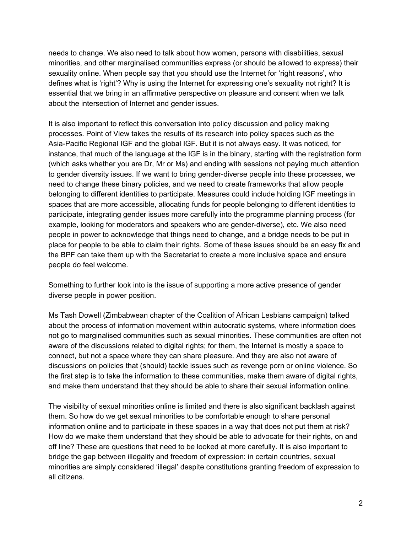needs to change. We also need to talk about how women, persons with disabilities, sexual minorities, and other marginalised communities express (or should be allowed to express) their sexuality online. When people say that you should use the Internet for 'right reasons', who defines what is 'right'? Why is using the Internet for expressing one's sexuality not right? It is essential that we bring in an affirmative perspective on pleasure and consent when we talk about the intersection of Internet and gender issues.

It is also important to reflect this conversation into policy discussion and policy making processes. Point of View takes the results of its research into policy spaces such as the Asia-Pacific Regional IGF and the global IGF. But it is not always easy. It was noticed, for instance, that much of the language at the IGF is in the binary, starting with the registration form (which asks whether you are Dr, Mr or Ms) and ending with sessions not paying much attention to gender diversity issues. If we want to bring gender-diverse people into these processes, we need to change these binary policies, and we need to create frameworks that allow people belonging to different identities to participate. Measures could include holding IGF meetings in spaces that are more accessible, allocating funds for people belonging to different identities to participate, integrating gender issues more carefully into the programme planning process (for example, looking for moderators and speakers who are gender-diverse), etc. We also need people in power to acknowledge that things need to change, and a bridge needs to be put in place for people to be able to claim their rights. Some of these issues should be an easy fix and the BPF can take them up with the Secretariat to create a more inclusive space and ensure people do feel welcome.

Something to further look into is the issue of supporting a more active presence of gender diverse people in power position.

Ms Tash Dowell (Zimbabwean chapter of the Coalition of African Lesbians campaign) talked about the process of information movement within autocratic systems, where information does not go to marginalised communities such as sexual minorities. These communities are often not aware of the discussions related to digital rights; for them, the Internet is mostly a space to connect, but not a space where they can share pleasure. And they are also not aware of discussions on policies that (should) tackle issues such as revenge porn or online violence. So the first step is to take the information to these communities, make them aware of digital rights, and make them understand that they should be able to share their sexual information online.

The visibility of sexual minorities online is limited and there is also significant backlash against them. So how do we get sexual minorities to be comfortable enough to share personal information online and to participate in these spaces in a way that does not put them at risk? How do we make them understand that they should be able to advocate for their rights, on and off line? These are questions that need to be looked at more carefully. It is also important to bridge the gap between illegality and freedom of expression: in certain countries, sexual minorities are simply considered 'illegal' despite constitutions granting freedom of expression to all citizens.